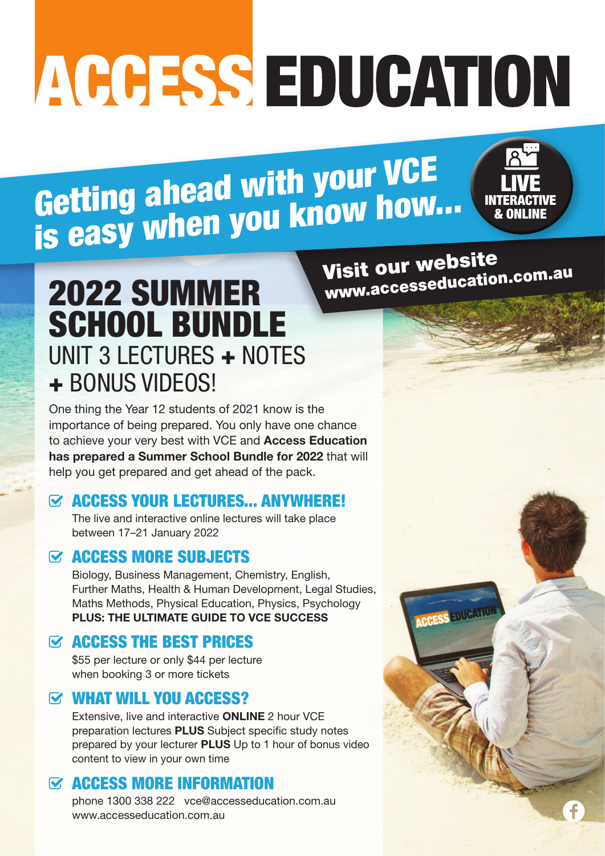# ACCESS EDUCATION

Getting ahead with your VCE is easy when you know how...



# 2022 SUMMER SCHOOL BUNDLE UNIT 3 LECTURES + NOTES + BONUS VIDEOS!

One thing the Year 12 students of 2021 know is the importance of being prepared. You only have one chance to achieve your very best with VCE and **Access Education has prepared a Summer School Bundle for 2022** that will help you get prepared and get ahead of the pack.

## $\heartsuit$  ACCESS YOUR LECTURES... ANYWHERE!

The live and interactive online lectures will take place between 17–21 January 2022

# $\boldsymbol{\alpha}$  **ACCESS MORE SUBJECTS**

Biology, Business Management, Chemistry, English, Further Maths, Health & Human Development, Legal Studies, Maths Methods, Physical Education, Physics, Psychology **PLUS: THE ULTIMATE GUIDE TO VCE SUCCESS** 

# **EXACCESS THE BEST PRICES**

\$55 per lecture or only \$44 per lecture when booking 3 or more tickets

# WHAT WILL YOU ACCESS?

Extensive, live and interactive **ONLINE** 2 hour VCE preparation lectures **PLUS** Subject specific study notes prepared by your lecturer **PLUS** Up to 1 hour of bonus video content to view in your own time

# $\boldsymbol{\alpha}$  **ACCESS MORE INFORMATION**

phone 1300 338 222 vce@accesseducation.com.au www.accesseducation.com.au

Visit our website www.accesseducation.com.au

**ACCESS EDUCATION**